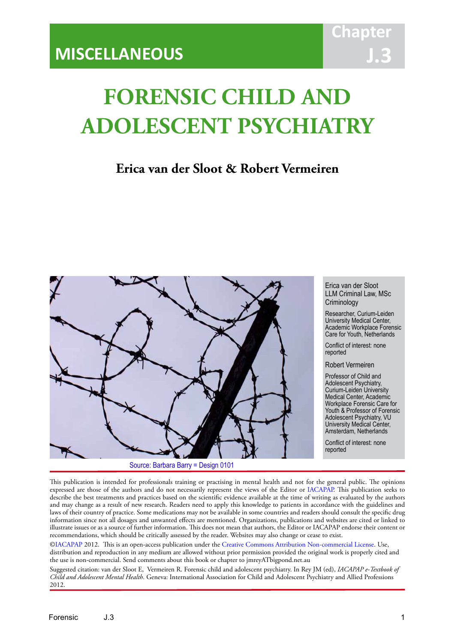# **FORENSIC CHILD AND ADOLESCENT PSYCHIATRY**

IACAPAP Textbook of Child and Adolescent Mental Health

## **Erica van der Sloot & Robert Vermeiren**



Erica van der Sloot LLM Criminal Law, MSc **Criminology** 

Researcher, Curium-Leiden University Medical Center, Academic Workplace Forensic Care for Youth, Netherlands

Conflict of interest: none reported

Robert Vermeiren

Professor of Child and Adolescent Psychiatry, Curium-Leiden University Medical Center, Academic Workplace Forensic Care for Youth & Professor of Forensic Adolescent Psychiatry, VU University Medical Center, Amsterdam, Netherlands

Conflict of interest: none reported

This publication is intended for professionals training or practising in mental health and not for the general public. The opinions expressed are those of the authors and do not necessarily represent the views of the Editor or IACAPAP. This publication seeks to describe the best treatments and practices based on the scientific evidence available at the time of writing as evaluated by the authors and may change as a result of new research. Readers need to apply this knowledge to patients in accordance with the guidelines and laws of their country of practice. Some medications may not be available in some countries and readers should consult the specific drug information since not all dosages and unwanted effects are mentioned. Organizations, publications and websites are cited or linked to illustrate issues or as a source of further information. This does not mean that authors, the Editor or IACAPAP endorse their content or recommendations, which should be critically assessed by the reader. Websites may also change or cease to exist.

[©IACAPAP](http://iacapap.org) 2012. This is an open-access publication under the [Creative Commons Attribution Non-commercial License](http://creativecommons.org). Use, distribution and reproduction in any medium are allowed without prior permission provided the original work is properly cited and the use is non-commercial. Send comments about this book or chapter to jmreyATbigpond.net.au

Suggested citation: van der Sloot E, Vermeiren R. Forensic child and adolescent psychiatry. In Rey JM (ed), *IACAPAP e-Textbook of Child and Adolescent Mental Health*. Geneva: International Association for Child and Adolescent Psychiatry and Allied Professions 2012.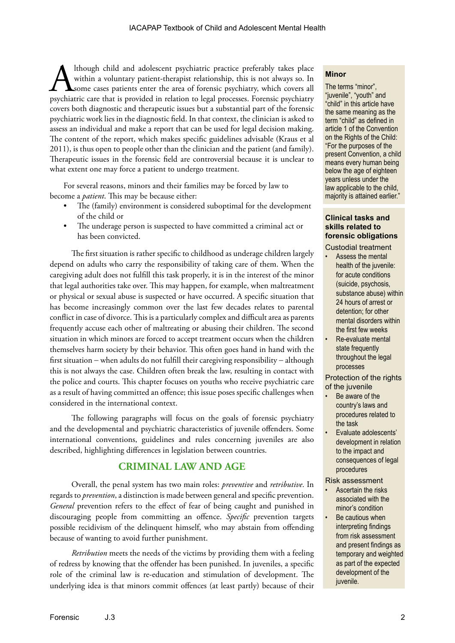Ithough child and adolescent psychiatric practice preferably takes place<br>within a voluntary patient-therapist relationship, this is not always so. In<br>psychiatric care that is provided in relation to legal processes. Forens within a voluntary patient-therapist relationship, this is not always so. In some cases patients enter the area of forensic psychiatry, which covers all psychiatric care that is provided in relation to legal processes. Forensic psychiatry covers both diagnostic and therapeutic issues but a substantial part of the forensic psychiatric work lies in the diagnostic field. In that context, the clinician is asked to assess an individual and make a report that can be used for legal decision making. The content of the report, which makes specific guidelines advisable (Kraus et al 2011), is thus open to people other than the clinician and the patient (and family). Therapeutic issues in the forensic field are controversial because it is unclear to what extent one may force a patient to undergo treatment.

For several reasons, minors and their families may be forced by law to become a *patient*. This may be because either:

- The (family) environment is considered suboptimal for the development of the child or
- The underage person is suspected to have committed a criminal act or has been convicted.

The first situation is rather specific to childhood as underage children largely depend on adults who carry the responsibility of taking care of them. When the caregiving adult does not fulfill this task properly, it is in the interest of the minor that legal authorities take over. This may happen, for example, when maltreatment or physical or sexual abuse is suspected or have occurred. A specific situation that has become increasingly common over the last few decades relates to parental conflict in case of divorce. This is a particularly complex and difficult area as parents frequently accuse each other of maltreating or abusing their children. The second situation in which minors are forced to accept treatment occurs when the children themselves harm society by their behavior. This often goes hand in hand with the first situation − when adults do not fulfill their caregiving responsibility − although this is not always the case. Children often break the law, resulting in contact with the police and courts. This chapter focuses on youths who receive psychiatric care as a result of having committed an offence; this issue poses specific challenges when considered in the international context.

The following paragraphs will focus on the goals of forensic psychiatry and the developmental and psychiatric characteristics of juvenile offenders. Some international conventions, guidelines and rules concerning juveniles are also described, highlighting differences in legislation between countries.

## **CRIMINAL LAW AND AGE**

Overall, the penal system has two main roles: *preventive* and *retributive*. In regards to *prevention*, a distinction is made between general and specific prevention. *General* prevention refers to the effect of fear of being caught and punished in discouraging people from committing an offence. *Specific* prevention targets possible recidivism of the delinquent himself, who may abstain from offending because of wanting to avoid further punishment.

*Retribution* meets the needs of the victims by providing them with a feeling of redress by knowing that the offender has been punished. In juveniles, a specific role of the criminal law is re-education and stimulation of development. The underlying idea is that minors commit offences (at least partly) because of their

#### **Minor**

The terms "minor", "juvenile", "youth" and "child" in this article have the same meaning as the term "child" as defined in article 1 of the Convention on the Rights of the Child: "For the purposes of the present Convention, a child means every human being below the age of eighteen years unless under the law applicable to the child, majority is attained earlier."

#### **Clinical tasks and skills related to forensic obligations**

Custodial treatment

- Assess the mental health of the juvenile: for acute conditions (suicide, psychosis, substance abuse) within 24 hours of arrest or detention; for other mental disorders within the first few weeks
- Re-evaluate mental state frequently throughout the legal processes

Protection of the rights of the juvenile

- Be aware of the country's laws and procedures related to the task
- Evaluate adolescents' development in relation to the impact and consequences of legal procedures

Risk assessment

- Ascertain the risks associated with the minor's condition
- Be cautious when interpreting findings from risk assessment and present findings as temporary and weighted as part of the expected development of the juvenile.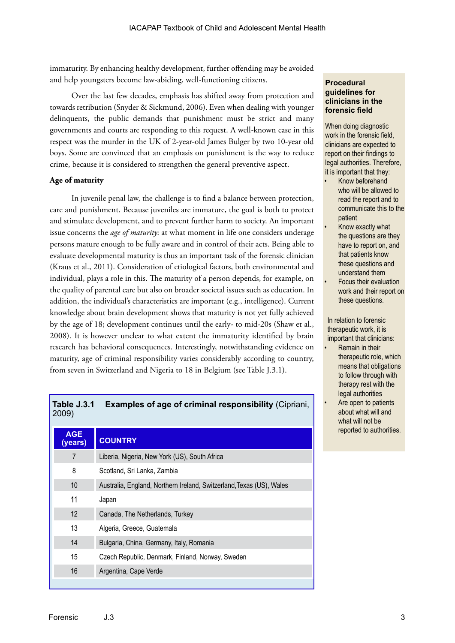immaturity. By enhancing healthy development, further offending may be avoided and help youngsters become law-abiding, well-functioning citizens.

Over the last few decades, emphasis has shifted away from protection and towards retribution (Snyder & Sickmund, 2006). Even when dealing with younger delinquents, the public demands that punishment must be strict and many governments and courts are responding to this request. A well-known case in this respect was the murder in the UK of 2-year-old James Bulger by two 10-year old boys. Some are convinced that an emphasis on punishment is the way to reduce crime, because it is considered to strengthen the general preventive aspect.

#### **Age of maturity**

In juvenile penal law, the challenge is to find a balance between protection, care and punishment. Because juveniles are immature, the goal is both to protect and stimulate development, and to prevent further harm to society. An important issue concerns the *age of maturity*: at what moment in life one considers underage persons mature enough to be fully aware and in control of their acts. Being able to evaluate developmental maturity is thus an important task of the forensic clinician (Kraus et al., 2011). Consideration of etiological factors, both environmental and individual, plays a role in this. The maturity of a person depends, for example, on the quality of parental care but also on broader societal issues such as education. In addition, the individual's characteristics are important (e.g., intelligence). Current knowledge about brain development shows that maturity is not yet fully achieved by the age of 18; development continues until the early- to mid-20s (Shaw et al., 2008). It is however unclear to what extent the immaturity identified by brain research has behavioral consequences. Interestingly, notwithstanding evidence on maturity, age of criminal responsibility varies considerably according to country, from seven in Switzerland and Nigeria to 18 in Belgium (see Table J.3.1).

## **Table J.3.1 Examples of age of criminal responsibility** (Cipriani, 2009)

| <b>AGE</b><br>(years) | <b>COUNTRY</b>                                                       |
|-----------------------|----------------------------------------------------------------------|
| $\overline{7}$        | Liberia, Nigeria, New York (US), South Africa                        |
| 8                     | Scotland, Sri Lanka, Zambia                                          |
| 10                    | Australia, England, Northern Ireland, Switzerland, Texas (US), Wales |
| 11                    | Japan                                                                |
| 12                    | Canada, The Netherlands, Turkey                                      |
| 13                    | Algeria, Greece, Guatemala                                           |
| 14                    | Bulgaria, China, Germany, Italy, Romania                             |
| 15                    | Czech Republic, Denmark, Finland, Norway, Sweden                     |
| 16                    | Argentina, Cape Verde                                                |
|                       |                                                                      |

#### **Procedural guidelines for clinicians in the forensic field**

When doing diagnostic work in the forensic field, clinicians are expected to report on their findings to legal authorities. Therefore, it is important that they:

- Know beforehand who will be allowed to read the report and to communicate this to the patient
- Know exactly what the questions are they have to report on, and that patients know these questions and understand them
- Focus their evaluation work and their report on these questions.

In relation to forensic therapeutic work, it is important that clinicians:

- Remain in their therapeutic role, which means that obligations to follow through with therapy rest with the legal authorities
- Are open to patients about what will and what will not be reported to authorities.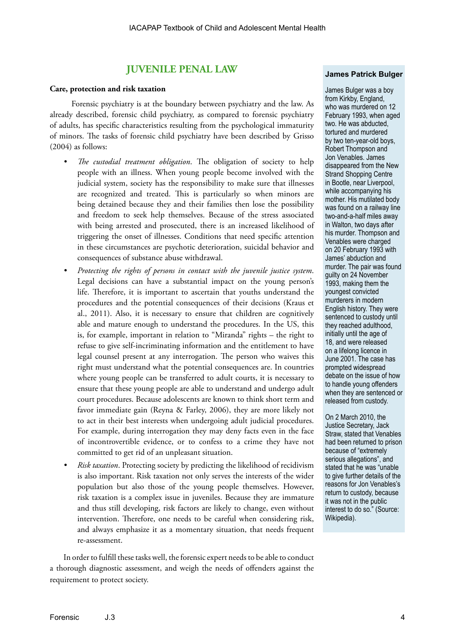## **JUVENILE PENAL LAW**

#### **Care, protection and risk taxation**

Forensic psychiatry is at the boundary between psychiatry and the law. As already described, forensic child psychiatry, as compared to forensic psychiatry of adults, has specific characteristics resulting from the psychological immaturity of minors. The tasks of forensic child psychiatry have been described by Grisso (2004) as follows:

- *• The custodial treatment obligation*. The obligation of society to help people with an illness. When young people become involved with the judicial system, society has the responsibility to make sure that illnesses are recognized and treated. This is particularly so when minors are being detained because they and their families then lose the possibility and freedom to seek help themselves. Because of the stress associated with being arrested and prosecuted, there is an increased likelihood of triggering the onset of illnesses. Conditions that need specific attention in these circumstances are psychotic deterioration, suicidal behavior and consequences of substance abuse withdrawal.
- *• Protecting the rights of persons in contact with the juvenile justice system*. Legal decisions can have a substantial impact on the young person's life. Therefore, it is important to ascertain that youths understand the procedures and the potential consequences of their decisions (Kraus et al., 2011). Also, it is necessary to ensure that children are cognitively able and mature enough to understand the procedures. In the US, this is, for example, important in relation to "Miranda" rights – the right to refuse to give self-incriminating information and the entitlement to have legal counsel present at any interrogation. The person who waives this right must understand what the potential consequences are. In countries where young people can be transferred to adult courts, it is necessary to ensure that these young people are able to understand and undergo adult court procedures. Because adolescents are known to think short term and favor immediate gain (Reyna & Farley, 2006), they are more likely not to act in their best interests when undergoing adult judicial procedures. For example, during interrogation they may deny facts even in the face of incontrovertible evidence, or to confess to a crime they have not committed to get rid of an unpleasant situation.
- *• Risk taxation*. Protecting society by predicting the likelihood of recidivism is also important. Risk taxation not only serves the interests of the wider population but also those of the young people themselves. However, risk taxation is a complex issue in juveniles. Because they are immature and thus still developing, risk factors are likely to change, even without intervention. Therefore, one needs to be careful when considering risk, and always emphasize it as a momentary situation, that needs frequent re-assessment.

In order to fulfill these tasks well, the forensic expert needs to be able to conduct a thorough diagnostic assessment, and weigh the needs of offenders against the requirement to protect society.

#### **James Patrick Bulger**

James Bulger was a boy from Kirkby, England, who was murdered on 12 February 1993, when aged two. He was abducted, tortured and murdered by two ten-year-old boys, Robert Thompson and Jon Venables. James disappeared from the New Strand Shopping Centre in Bootle, near Liverpool, while accompanying his mother. His mutilated body was found on a railway line two-and-a-half miles away in Walton, two days after his murder. Thompson and Venables were charged on 20 February 1993 with James' abduction and murder. The pair was found guilty on 24 November 1993, making them the youngest convicted murderers in modern English history. They were sentenced to custody until they reached adulthood, initially until the age of 18, and were released on a lifelong licence in June 2001. The case has prompted widespread debate on the issue of how to handle young offenders when they are sentenced or released from custody.

On 2 March 2010, the Justice Secretary, Jack Straw, stated that Venables had been returned to prison because of "extremely serious allegations", and stated that he was "unable to give further details of the reasons for Jon Venables's return to custody, because it was not in the public interest to do so." (Source: Wikipedia).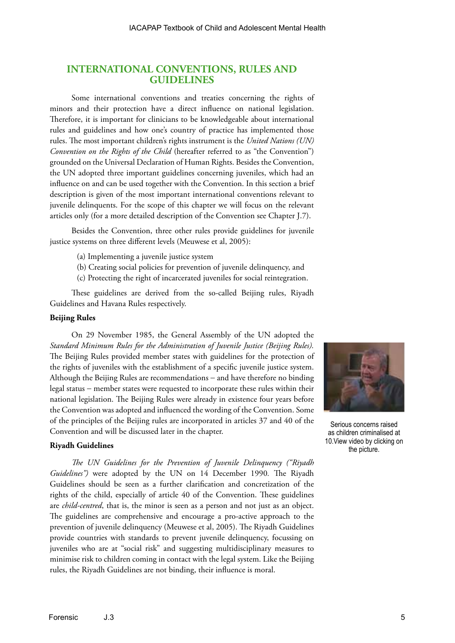## **INTERNATIONAL CONVENTIONS, RULES AND GUIDELINES**

Some international conventions and treaties concerning the rights of minors and their protection have a direct influence on national legislation. Therefore, it is important for clinicians to be knowledgeable about international rules and guidelines and how one's country of practice has implemented those rules. The most important children's rights instrument is the *United Nations (UN) Convention on the Rights of the Child* (hereafter referred to as "the Convention") grounded on the Universal Declaration of Human Rights. Besides the Convention, the UN adopted three important guidelines concerning juveniles, which had an influence on and can be used together with the Convention. In this section a brief description is given of the most important international conventions relevant to juvenile delinquents. For the scope of this chapter we will focus on the relevant articles only (for a more detailed description of the Convention see Chapter J.7).

Besides the Convention, three other rules provide guidelines for juvenile justice systems on three different levels (Meuwese et al, 2005):

- (a) Implementing a juvenile justice system
- (b) Creating social policies for prevention of juvenile delinquency, and
- (c) Protecting the right of incarcerated juveniles for social reintegration.

These guidelines are derived from the so-called Beijing rules, Riyadh Guidelines and Havana Rules respectively.

#### **Beijing Rules**

On 29 November 1985, the General Assembly of the UN adopted the *Standard Minimum Rules for the Administration of Juvenile Justice (Beijing Rules).*  The Beijing Rules provided member states with guidelines for the protection of the rights of juveniles with the establishment of a specific juvenile justice system. Although the Beijing Rules are recommendations − and have therefore no binding legal status − member states were requested to incorporate these rules within their national legislation. The Beijing Rules were already in existence four years before the Convention was adopted and influenced the wording of the Convention. Some of the principles of the Beijing rules are incorporated in articles 37 and 40 of the Convention and will be discussed later in the chapter.

#### **Riyadh Guidelines**

*The UN Guidelines for the Prevention of Juvenile Delinquency ("Riyadh Guidelines")* were adopted by the UN on 14 December 1990*.* The Riyadh Guidelines should be seen as a further clarification and concretization of the rights of the child, especially of article 40 of the Convention. These guidelines are *child-centred*, that is, the minor is seen as a person and not just as an object. The guidelines are comprehensive and encourage a pro-active approach to the prevention of juvenile delinquency (Meuwese et al, 2005). The Riyadh Guidelines provide countries with standards to prevent juvenile delinquency, focussing on juveniles who are at "social risk" and suggesting multidisciplinary measures to minimise risk to children coming in contact with the legal system. Like the Beijing rules, the Riyadh Guidelines are not binding, their influence is moral.



Serious concerns raised as children criminalised at 10.View video by clicking on the picture.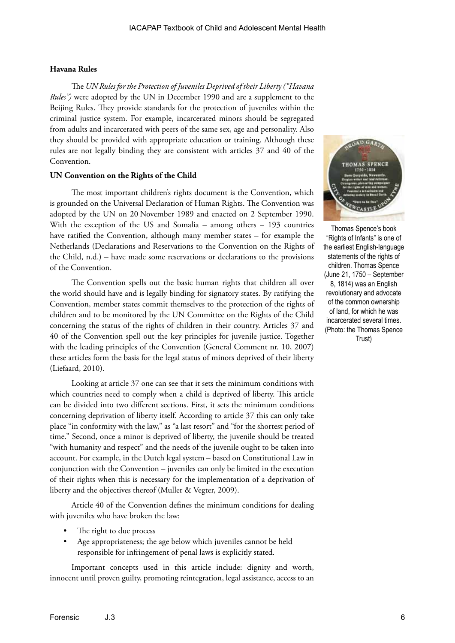#### **Havana Rules**

The *UN Rules for the Protection of Juveniles Deprived of their Liberty ("Havana Rules")* were adopted by the UN in December 1990 and are a supplement to the Beijing Rules. They provide standards for the protection of juveniles within the criminal justice system. For example, incarcerated minors should be segregated from adults and incarcerated with peers of the same sex, age and personality. Also they should be provided with appropriate education or training. Although these rules are not legally binding they are consistent with articles 37 and 40 of the Convention.

#### **UN Convention on the Rights of the Child**

The most important children's rights document is the Convention, which is grounded on the Universal Declaration of Human Rights. The Convention was adopted by the UN on 20 November 1989 and enacted on 2 September 1990. With the exception of the US and Somalia – among others – 193 countries have ratified the Convention, although many member states – for example the Netherlands (Declarations and Reservations to the Convention on the Rights of the Child, n.d.) – have made some reservations or declarations to the provisions of the Convention.

The Convention spells out the basic human rights that children all over the world should have and is legally binding for signatory states. By ratifying the Convention, member states commit themselves to the protection of the rights of children and to be monitored by the UN Committee on the Rights of the Child concerning the status of the rights of children in their country. Articles 37 and 40 of the Convention spell out the key principles for juvenile justice. Together with the leading principles of the Convention (General Comment nr. 10, 2007) these articles form the basis for the legal status of minors deprived of their liberty (Liefaard, 2010).

Looking at article 37 one can see that it sets the minimum conditions with which countries need to comply when a child is deprived of liberty. This article can be divided into two different sections. First, it sets the minimum conditions concerning deprivation of liberty itself. According to article 37 this can only take place "in conformity with the law," as "a last resort" and "for the shortest period of time." Second, once a minor is deprived of liberty, the juvenile should be treated "with humanity and respect" and the needs of the juvenile ought to be taken into account. For example, in the Dutch legal system – based on Constitutional Law in conjunction with the Convention – juveniles can only be limited in the execution of their rights when this is necessary for the implementation of a deprivation of liberty and the objectives thereof (Muller & Vegter, 2009).

Article 40 of the Convention defines the minimum conditions for dealing with juveniles who have broken the law:

- The right to due process
- Age appropriateness; the age below which juveniles cannot be held responsible for infringement of penal laws is explicitly stated.

Important concepts used in this article include: dignity and worth, innocent until proven guilty, promoting reintegration, legal assistance, access to an



Thomas Spence's book "Rights of Infants" is one of the earliest English-language statements of the rights of children. Thomas Spence (June 21, 1750 – September 8, 1814) was an English revolutionary and advocate of the common ownership of land, for which he was incarcerated several times. (Photo: the Thomas Spence Trust)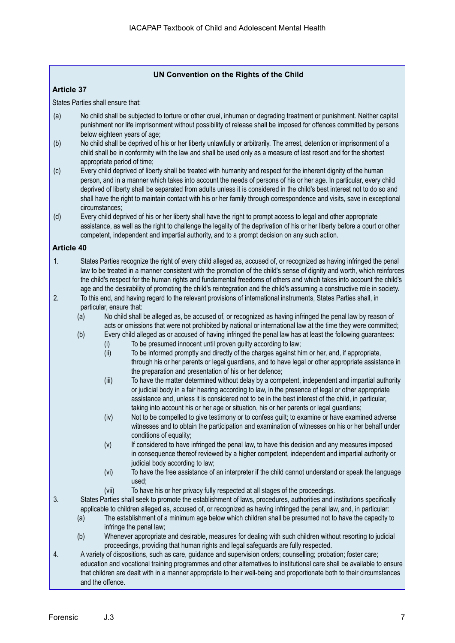#### **UN Convention on the Rights of the Child**

#### **Article 37**

States Parties shall ensure that:

- (a) No child shall be subjected to torture or other cruel, inhuman or degrading treatment or punishment. Neither capital punishment nor life imprisonment without possibility of release shall be imposed for offences committed by persons below eighteen years of age;
- (b) No child shall be deprived of his or her liberty unlawfully or arbitrarily. The arrest, detention or imprisonment of a child shall be in conformity with the law and shall be used only as a measure of last resort and for the shortest appropriate period of time;
- (c) Every child deprived of liberty shall be treated with humanity and respect for the inherent dignity of the human person, and in a manner which takes into account the needs of persons of his or her age. In particular, every child deprived of liberty shall be separated from adults unless it is considered in the child's best interest not to do so and shall have the right to maintain contact with his or her family through correspondence and visits, save in exceptional circumstances;
- (d) Every child deprived of his or her liberty shall have the right to prompt access to legal and other appropriate assistance, as well as the right to challenge the legality of the deprivation of his or her liberty before a court or other competent, independent and impartial authority, and to a prompt decision on any such action.

#### **Article 40**

- 1. States Parties recognize the right of every child alleged as, accused of, or recognized as having infringed the penal law to be treated in a manner consistent with the promotion of the child's sense of dignity and worth, which reinforces the child's respect for the human rights and fundamental freedoms of others and which takes into account the child's age and the desirability of promoting the child's reintegration and the child's assuming a constructive role in society.
- 2. To this end, and having regard to the relevant provisions of international instruments, States Parties shall, in particular, ensure that:
	- (a) No child shall be alleged as, be accused of, or recognized as having infringed the penal law by reason of acts or omissions that were not prohibited by national or international law at the time they were committed;
	- (b) Every child alleged as or accused of having infringed the penal law has at least the following guarantees:
		- (i) To be presumed innocent until proven guilty according to law;
		- (ii) To be informed promptly and directly of the charges against him or her, and, if appropriate, through his or her parents or legal guardians, and to have legal or other appropriate assistance in the preparation and presentation of his or her defence;
		- (iii) To have the matter determined without delay by a competent, independent and impartial authority or judicial body in a fair hearing according to law, in the presence of legal or other appropriate assistance and, unless it is considered not to be in the best interest of the child, in particular, taking into account his or her age or situation, his or her parents or legal guardians;
		- (iv) Not to be compelled to give testimony or to confess guilt; to examine or have examined adverse witnesses and to obtain the participation and examination of witnesses on his or her behalf under conditions of equality;
		- (v) If considered to have infringed the penal law, to have this decision and any measures imposed in consequence thereof reviewed by a higher competent, independent and impartial authority or judicial body according to law;
		- (vi) To have the free assistance of an interpreter if the child cannot understand or speak the language used;
		- (vii) To have his or her privacy fully respected at all stages of the proceedings.
- 3. States Parties shall seek to promote the establishment of laws, procedures, authorities and institutions specifically applicable to children alleged as, accused of, or recognized as having infringed the penal law, and, in particular:
	- (a) The establishment of a minimum age below which children shall be presumed not to have the capacity to infringe the penal law;
	- (b) Whenever appropriate and desirable, measures for dealing with such children without resorting to judicial proceedings, providing that human rights and legal safeguards are fully respected.
- 4. A variety of dispositions, such as care, guidance and supervision orders; counselling; probation; foster care; education and vocational training programmes and other alternatives to institutional care shall be available to ensure that children are dealt with in a manner appropriate to their well-being and proportionate both to their circumstances and the offence.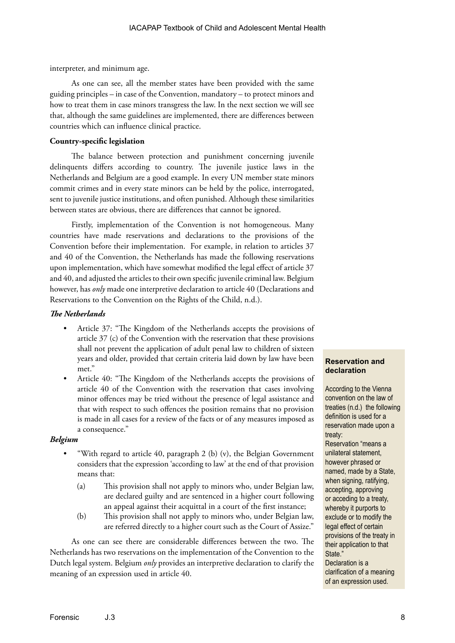interpreter, and minimum age.

As one can see, all the member states have been provided with the same guiding principles – in case of the Convention, mandatory – to protect minors and how to treat them in case minors transgress the law. In the next section we will see that, although the same guidelines are implemented, there are differences between countries which can influence clinical practice.

#### **Country-specific legislation**

The balance between protection and punishment concerning juvenile delinquents differs according to country. The juvenile justice laws in the Netherlands and Belgium are a good example. In every UN member state minors commit crimes and in every state minors can be held by the police, interrogated, sent to juvenile justice institutions, and often punished. Although these similarities between states are obvious, there are differences that cannot be ignored.

Firstly, implementation of the Convention is not homogeneous. Many countries have made reservations and declarations to the provisions of the Convention before their implementation. For example, in relation to articles 37 and 40 of the Convention, the Netherlands has made the following reservations upon implementation, which have somewhat modified the legal effect of article 37 and 40, and adjusted the articles to their own specific juvenile criminal law. Belgium however, has *only* made one interpretive declaration to article 40 (Declarations and Reservations to the Convention on the Rights of the Child, n.d.).

#### *The Netherlands*

- Article 37: "The Kingdom of the Netherlands accepts the provisions of article 37 (c) of the Convention with the reservation that these provisions shall not prevent the application of adult penal law to children of sixteen years and older, provided that certain criteria laid down by law have been met."
- Article 40: "The Kingdom of the Netherlands accepts the provisions of article 40 of the Convention with the reservation that cases involving minor offences may be tried without the presence of legal assistance and that with respect to such offences the position remains that no provision is made in all cases for a review of the facts or of any measures imposed as a consequence."

#### *Belgium*

- "With regard to article 40, paragraph 2 (b) (v), the Belgian Government considers that the expression 'according to law' at the end of that provision means that:
	- (a) This provision shall not apply to minors who, under Belgian law, are declared guilty and are sentenced in a higher court following an appeal against their acquittal in a court of the first instance;
	- (b) This provision shall not apply to minors who, under Belgian law, are referred directly to a higher court such as the Court of Assize."

As one can see there are considerable differences between the two. The Netherlands has two reservations on the implementation of the Convention to the Dutch legal system. Belgium *only* provides an interpretive declaration to clarify the meaning of an expression used in article 40.

#### **Reservation and declaration**

According to the Vienna convention on the law of treaties (n.d.) the following definition is used for a reservation made upon a treaty:

Reservation "means a unilateral statement, however phrased or named, made by a State, when signing, ratifying, accepting, approving or acceding to a treaty, whereby it purports to exclude or to modify the legal effect of certain provisions of the treaty in their application to that State."

Declaration is a clarification of a meaning of an expression used.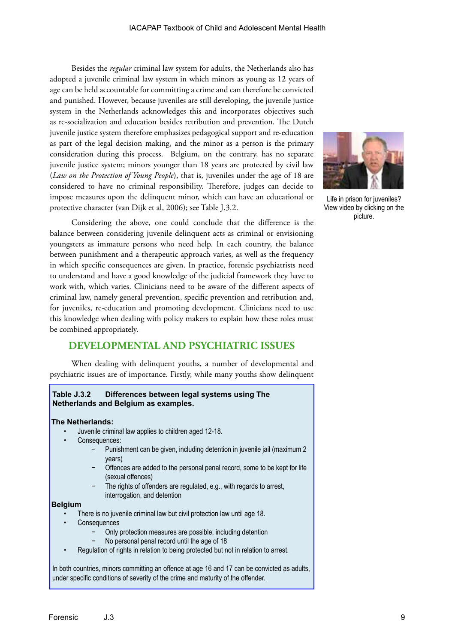Besides the *regular* criminal law system for adults, the Netherlands also has adopted a juvenile criminal law system in which minors as young as 12 years of age can be held accountable for committing a crime and can therefore be convicted and punished. However, because juveniles are still developing, the juvenile justice system in the Netherlands acknowledges this and incorporates objectives such as re-socialization and education besides retribution and prevention. The Dutch juvenile justice system therefore emphasizes pedagogical support and re-education as part of the legal decision making, and the minor as a person is the primary consideration during this process. Belgium, on the contrary, has no separate juvenile justice system; minors younger than 18 years are protected by civil law (*Law on the Protection of Young People*), that is, juveniles under the age of 18 are considered to have no criminal responsibility. Therefore, judges can decide to impose measures upon the delinquent minor, which can have an educational or protective character (van Dijk et al, 2006); see Table J.3.2.

Considering the above, one could conclude that the difference is the balance between considering juvenile delinquent acts as criminal or envisioning youngsters as immature persons who need help. In each country, the balance between punishment and a therapeutic approach varies, as well as the frequency in which specific consequences are given. In practice, forensic psychiatrists need to understand and have a good knowledge of the judicial framework they have to work with, which varies. Clinicians need to be aware of the different aspects of criminal law, namely general prevention, specific prevention and retribution and, for juveniles, re-education and promoting development. Clinicians need to use this knowledge when dealing with policy makers to explain how these roles must be combined appropriately.

## **DEVELOPMENTAL AND PSYCHIATRIC ISSUES**

When dealing with delinquent youths, a number of developmental and psychiatric issues are of importance. Firstly, while many youths show delinquent

#### **Table J.3.2 Differences between legal systems using The Netherlands and Belgium as examples.**

#### **The Netherlands:**

- Juvenile criminal law applies to children aged 12-18.
- Consequences:
	- − Punishment can be given, including detention in juvenile jail (maximum 2 years)
	- Offences are added to the personal penal record, some to be kept for life (sexual offences)
	- The rights of offenders are regulated, e.g., with regards to arrest, interrogation, and detention

#### **Belgium**

- There is no juvenile criminal law but civil protection law until age 18.
- **Consequences** 
	- − Only protection measures are possible, including detention
	- − No personal penal record until the age of 18
- Regulation of rights in relation to being protected but not in relation to arrest.

In both countries, minors committing an offence at age 16 and 17 can be convicted as adults, under specific conditions of severity of the crime and maturity of the offender.



Life in prison for juveniles? View video by clicking on the picture.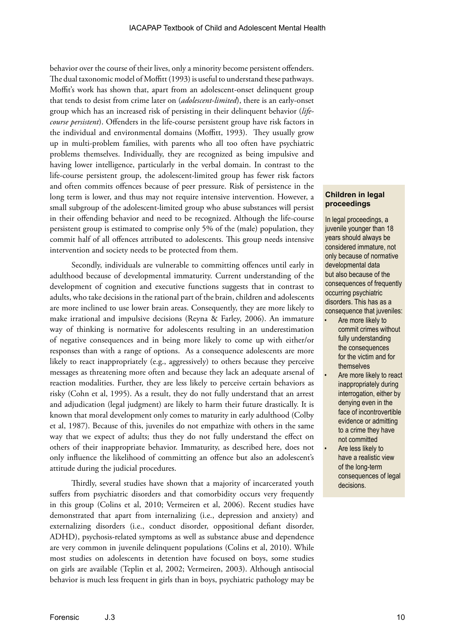behavior over the course of their lives, only a minority become persistent offenders. The dual taxonomic model of Moffitt (1993) is useful to understand these pathways. Moffit's work has shown that, apart from an adolescent-onset delinquent group that tends to desist from crime later on (*adolescent-limited*), there is an early-onset group which has an increased risk of persisting in their delinquent behavior (*lifecourse persistent*). Offenders in the life-course persistent group have risk factors in the individual and environmental domains (Moffitt, 1993). They usually grow up in multi-problem families, with parents who all too often have psychiatric problems themselves. Individually, they are recognized as being impulsive and having lower intelligence, particularly in the verbal domain. In contrast to the life-course persistent group, the adolescent-limited group has fewer risk factors and often commits offences because of peer pressure. Risk of persistence in the long term is lower, and thus may not require intensive intervention. However, a small subgroup of the adolescent-limited group who abuse substances will persist in their offending behavior and need to be recognized. Although the life-course persistent group is estimated to comprise only 5% of the (male) population, they commit half of all offences attributed to adolescents. This group needs intensive intervention and society needs to be protected from them.

Secondly, individuals are vulnerable to committing offences until early in adulthood because of developmental immaturity. Current understanding of the development of cognition and executive functions suggests that in contrast to adults, who take decisions in the rational part of the brain, children and adolescents are more inclined to use lower brain areas. Consequently, they are more likely to make irrational and impulsive decisions (Reyna & Farley, 2006). An immature way of thinking is normative for adolescents resulting in an underestimation of negative consequences and in being more likely to come up with either/or responses than with a range of options. As a consequence adolescents are more likely to react inappropriately (e.g., aggressively) to others because they perceive messages as threatening more often and because they lack an adequate arsenal of reaction modalities. Further, they are less likely to perceive certain behaviors as risky (Cohn et al, 1995). As a result, they do not fully understand that an arrest and adjudication (legal judgment) are likely to harm their future drastically. It is known that moral development only comes to maturity in early adulthood (Colby et al, 1987). Because of this, juveniles do not empathize with others in the same way that we expect of adults; thus they do not fully understand the effect on others of their inappropriate behavior. Immaturity, as described here, does not only influence the likelihood of committing an offence but also an adolescent's attitude during the judicial procedures.

Thirdly, several studies have shown that a majority of incarcerated youth suffers from psychiatric disorders and that comorbidity occurs very frequently in this group (Colins et al, 2010; Vermeiren et al, 2006). Recent studies have demonstrated that apart from internalizing (i.e., depression and anxiety) and externalizing disorders (i.e., conduct disorder, oppositional defiant disorder, ADHD), psychosis-related symptoms as well as substance abuse and dependence are very common in juvenile delinquent populations (Colins et al, 2010). While most studies on adolescents in detention have focused on boys, some studies on girls are available (Teplin et al, 2002; Vermeiren, 2003). Although antisocial behavior is much less frequent in girls than in boys, psychiatric pathology may be

#### **Children in legal proceedings**

In legal proceedings, a juvenile younger than 18 years should always be considered immature, not only because of normative developmental data but also because of the consequences of frequently occurring psychiatric disorders. This has as a consequence that juveniles:

- Are more likely to commit crimes without fully understanding the consequences for the victim and for themselves
- Are more likely to react inappropriately during interrogation, either by denying even in the face of incontrovertible evidence or admitting to a crime they have not committed
- Are less likely to have a realistic view of the long-term consequences of legal decisions.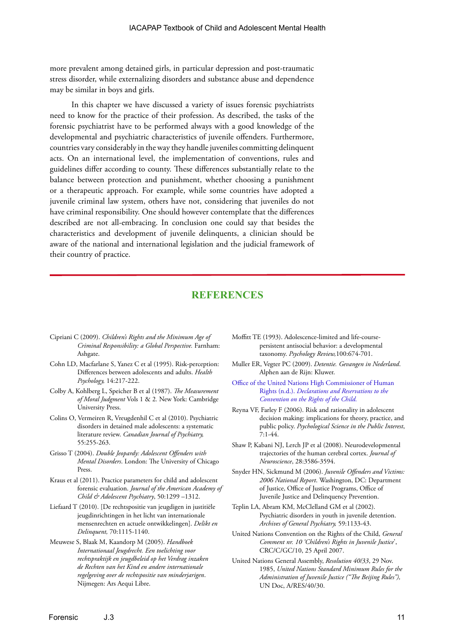more prevalent among detained girls, in particular depression and post-traumatic stress disorder, while externalizing disorders and substance abuse and dependence may be similar in boys and girls.

In this chapter we have discussed a variety of issues forensic psychiatrists need to know for the practice of their profession. As described, the tasks of the forensic psychiatrist have to be performed always with a good knowledge of the developmental and psychiatric characteristics of juvenile offenders. Furthermore, countries vary considerably in the way they handle juveniles committing delinquent acts. On an international level, the implementation of conventions, rules and guidelines differ according to county. These differences substantially relate to the balance between protection and punishment, whether choosing a punishment or a therapeutic approach. For example, while some countries have adopted a juvenile criminal law system, others have not, considering that juveniles do not have criminal responsibility. One should however contemplate that the differences described are not all-embracing. In conclusion one could say that besides the characteristics and development of juvenile delinquents, a clinician should be aware of the national and international legislation and the judicial framework of their country of practice.

## **REFERENCES**

- Cipriani C (2009). *Children's Rights and the Minimum Age of Criminal Responsibility: a Global Perspective.* Farnham: Ashgate.
- Cohn LD, Macfarlane S, Yanez C et al (1995). Risk-perception: Differences between adolescents and adults. *Health Psychology,* 14:217-222.
- Colby A, Kohlberg L, Speicher B et al (1987). *The Measurement of Moral Judgment* Vols 1 & 2*.* New York: Cambridge University Press.
- Colins O, Vermeiren R, Vreugdenhil C et al (2010). Psychiatric disorders in detained male adolescents: a systematic literature review. *Canadian Journal of Psychiatry,*  55:255-263.
- Grisso T (2004). *Double Jeopardy: Adolescent Offenders with Mental Disorders*. London: The University of Chicago Press.
- Kraus et al (2011). Practice parameters for child and adolescent forensic evaluation. *Journal of the American Academy of Child & Adolescent Psychiatry*, 50:1299 –1312.
- Liefaard T (2010). [De rechtspositie van jeugdigen in justitiële jeugdinrichtingen in het licht van internationale mensenrechten en actuele ontwikkelingen]. *Delikt en Delinquent,* 70:1115-1140.
- Meuwese S, Blaak M, Kaandorp M (2005). *Handboek Internationaal Jeugdrecht. Een toelichting voor rechtspraktijk en jeugdbeleid op het Verdrag inzaken de Rechten van het Kind en andere internationale regelgeving over de rechtspositie van minderjarigen*. Nijmegen: Ars Aequi Libre.
- Moffitt TE (1993). Adolescence-limited and life-coursepersistent antisocial behavior: a developmental taxonomy. *Psychology Review,*100:674-701.
- Muller ER, Vegter PC (2009). *Detentie. Gevangen in Nederland*. Alphen aan de Rijn: Kluwer.
- [Office of the United Nations High Commissioner of Human](http://www2.ohchr.org/english/law/crc-reserve.htm)  Rights (n.d.). *[Declarations and Reservations to the](http://www2.ohchr.org/english/law/crc-reserve.htm)  [Convention on the Rights of the Child.](http://www2.ohchr.org/english/law/crc-reserve.htm)*
- Reyna VF, Farley F (2006). Risk and rationality in adolescent decision making: implications for theory, practice, and public policy. *Psychological Science in the Public Interest*, 7:1-44.
- Shaw P, Kabani NJ, Lerch JP et al (2008). Neurodevelopmental trajectories of the human cerebral cortex. *Journal of Neuroscience*, 28:3586-3594.
- Snyder HN, Sickmund M (2006). *Juvenile Offenders and Victims: 2006 National Report*. Washington, DC: Department of Justice, Office of Justice Programs, Office of Juvenile Justice and Delinquency Prevention.
- Teplin LA, Abram KM, McClelland GM et al (2002). Psychiatric disorders in youth in juvenile detention. *Archives of General Psychiatry,* 59:1133-43.
- United Nations Convention on the Rights of the Child, *General Comment nr. 10 'Children's Rights in Juvenile Justice*', CRC/C/GC/10, 25 April 2007.
- United Nations General Assembly, *Resolution 40/33*, 29 Nov. 1985, *United Nations Standard Minimum Rules for the Administration of Juvenile Justice ("The Beijing Rules"),* UN Doc, A/RES/40/30.